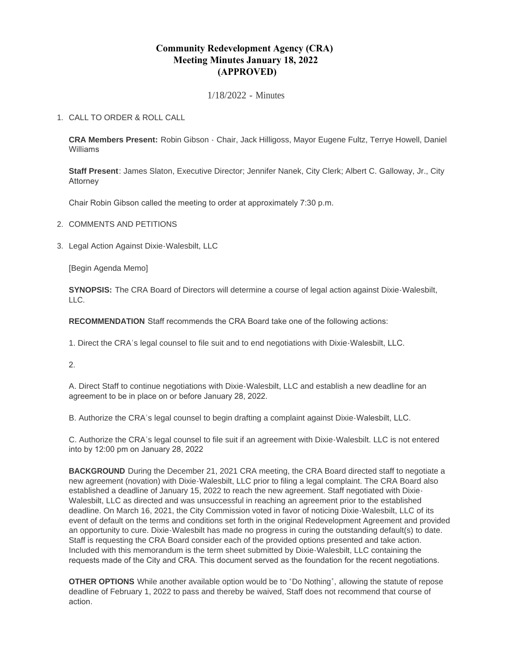## **Community Redevelopment Agency (CRA) Meeting Minutes January 18, 2022 (APPROVED)**

1/18/2022 - Minutes

## CALL TO ORDER & ROLL CALL 1.

**CRA Members Present:** Robin Gibson - Chair, Jack Hilligoss, Mayor Eugene Fultz, Terrye Howell, Daniel Williams

**Staff Present**: James Slaton, Executive Director; Jennifer Nanek, City Clerk; Albert C. Galloway, Jr., City Attorney

Chair Robin Gibson called the meeting to order at approximately 7:30 p.m.

- 2. COMMENTS AND PETITIONS
- 3. Legal Action Against Dixie-Walesbilt, LLC

[Begin Agenda Memo]

**SYNOPSIS:** The CRA Board of Directors will determine a course of legal action against Dixie-Walesbilt, LLC.

**RECOMMENDATION** Staff recommends the CRA Board take one of the following actions:

1. Direct the CRA's legal counsel to file suit and to end negotiations with Dixie-Walesbilt, LLC.

2.

A. Direct Staff to continue negotiations with Dixie-Walesbilt, LLC and establish a new deadline for an agreement to be in place on or before January 28, 2022.

B. Authorize the CRA's legal counsel to begin drafting a complaint against Dixie-Walesbilt, LLC.

C. Authorize the CRA's legal counsel to file suit if an agreement with Dixie-Walesbilt. LLC is not entered into by 12:00 pm on January 28, 2022

**BACKGROUND** During the December 21, 2021 CRA meeting, the CRA Board directed staff to negotiate a new agreement (novation) with Dixie-Walesbilt, LLC prior to filing a legal complaint. The CRA Board also established a deadline of January 15, 2022 to reach the new agreement. Staff negotiated with Dixie-Walesbilt, LLC as directed and was unsuccessful in reaching an agreement prior to the established deadline. On March 16, 2021, the City Commission voted in favor of noticing Dixie-Walesbilt, LLC of its event of default on the terms and conditions set forth in the original Redevelopment Agreement and provided an opportunity to cure. Dixie-Walesbilt has made no progress in curing the outstanding default(s) to date. Staff is requesting the CRA Board consider each of the provided options presented and take action. Included with this memorandum is the term sheet submitted by Dixie-Walesbilt, LLC containing the requests made of the City and CRA. This document served as the foundation for the recent negotiations.

**OTHER OPTIONS** While another available option would be to "Do Nothing", allowing the statute of repose deadline of February 1, 2022 to pass and thereby be waived, Staff does not recommend that course of action.